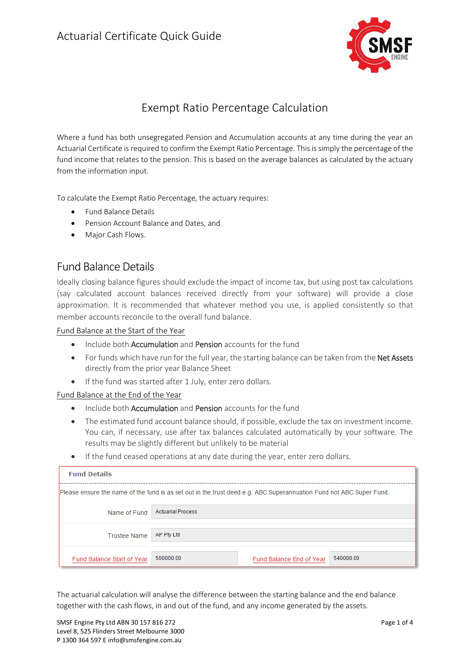

## Exempt Ratio Percentage Calculation

Where a fund has both unsegregated Pension and Accumulation accounts at any time during the year an Actuarial Certificate is required to confirm the Exempt Ratio Percentage. This is simply the percentage of the fund income that relates to the pension. This is based on the average balances as calculated by the actuary from the information input.

To calculate the Exempt Ratio Percentage, the actuary requires:

- Fund Balance Details
- Pension Account Balance and Dates, and
- Major Cash Flows.

## Fund Balance Details

Ideally closing balance figures should exclude the impact of income tax, but using post tax calculations (say calculated account balances received directly from your software) will provide a close approximation. It is recommended that whatever method you use, is applied consistently so that member accounts reconcile to the overall fund balance.

Fund Balance at the Start of the Year

- Include both **Accumulation** and **Pension** accounts for the fund
- For funds which have run for the full year, the starting balance can be taken from the Net Assets directly from the prior year Balance Sheet
- If the fund was started after 1 July, enter zero dollars.

#### Fund Balance at the End of the Year

- Include both **Accumulation** and **Pension** accounts for the fund
- The estimated fund account balance should, if possible, exclude the tax on investment income. You can, if necessary, use after tax balances calculated automatically by your software. The results may be slightly different but unlikely to be material
- If the fund ceased operations at any date during the year, enter zero dollars.

| <b>Fund Details</b>                                                                                                 |                                                    |  |  |  |
|---------------------------------------------------------------------------------------------------------------------|----------------------------------------------------|--|--|--|
| Please ensure the name of the fund is as set out in the trust deed e.g. ABC Superannuation Fund not ABC Super Fund. |                                                    |  |  |  |
| Name of Fund                                                                                                        | <b>Actuarial Process</b>                           |  |  |  |
| <b>Trustee Name</b>                                                                                                 | AP Pty Ltd                                         |  |  |  |
| Fund Balance Start of Year                                                                                          | 500000.00<br>540000.00<br>Fund Balance End of Year |  |  |  |

The actuarial calculation will analyse the difference between the starting balance and the end balance together with the cash flows, in and out of the fund, and any income generated by the assets.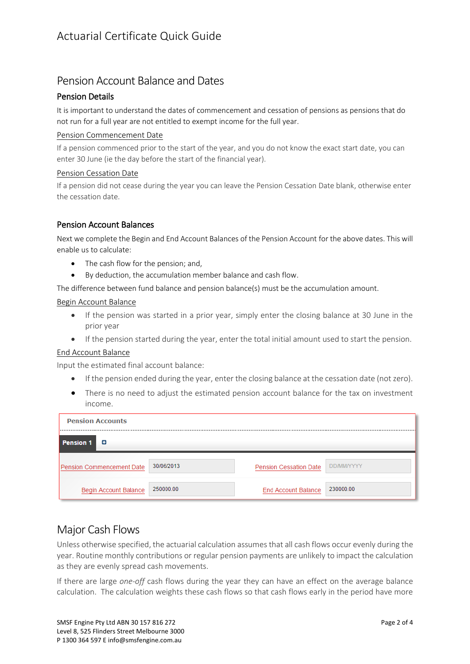## Pension Account Balance and Dates

### Pension Details

It is important to understand the dates of commencement and cessation of pensions as pensions that do not run for a full year are not entitled to exempt income for the full year.

#### Pension Commencement Date

If a pension commenced prior to the start of the year, and you do not know the exact start date, you can enter 30 June (ie the day before the start of the financial year).

#### Pension Cessation Date

If a pension did not cease during the year you can leave the Pension Cessation Date blank, otherwise enter the cessation date.

### Pension Account Balances

Next we complete the Begin and End Account Balances of the Pension Account for the above dates. This will enable us to calculate:

- The cash flow for the pension: and,
- By deduction, the accumulation member balance and cash flow.

The difference between fund balance and pension balance(s) must be the accumulation amount.

#### Begin Account Balance

- If the pension was started in a prior year, simply enter the closing balance at 30 June in the prior year
- If the pension started during the year, enter the total initial amount used to start the pension.

#### End Account Balance

Input the estimated final account balance:

- If the pension ended during the year, enter the closing balance at the cessation date (not zero).
- There is no need to adjust the estimated pension account balance for the tax on investment income.

| <b>Pension Accounts</b><br>  |            |                            |                   |
|------------------------------|------------|----------------------------|-------------------|
| <b>Pension 1</b><br>o        |            |                            |                   |
| Pension Commencement Date    | 30/06/2013 | Pension Cessation Date     | <b>DD/MM/YYYY</b> |
| <b>Begin Account Balance</b> | 250000.00  | <b>End Account Balance</b> | 230000.00         |

## Major Cash Flows

Unless otherwise specified, the actuarial calculation assumes that all cash flows occur evenly during the year. Routine monthly contributions or regular pension payments are unlikely to impact the calculation as they are evenly spread cash movements.

If there are large *one-off* cash flows during the year they can have an effect on the average balance calculation. The calculation weights these cash flows so that cash flows early in the period have more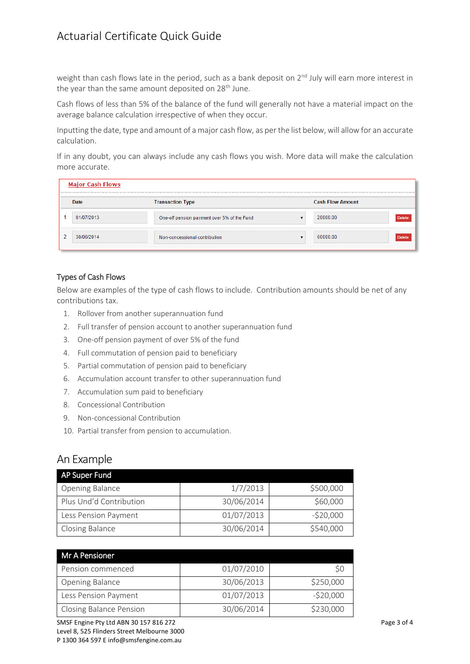# Actuarial Certificate Quick Guide

weight than cash flows late in the period, such as a bank deposit on 2<sup>nd</sup> July will earn more interest in the year than the same amount deposited on 28<sup>th</sup> June.

Cash flows of less than 5% of the balance of the fund will generally not have a material impact on the average balance calculation irrespective of when they occur.

Inputting the date, type and amount of a major cash flow, as per the list below, will allow for an accurate calculation.

If in any doubt, you can always include any cash flows you wish. More data will make the calculation more accurate.

|   | <b>Major Cash Flows</b> |                                             |                         |               |  |
|---|-------------------------|---------------------------------------------|-------------------------|---------------|--|
|   | Date                    | <b>Transaction Type</b>                     | <b>Cash Flow Amount</b> |               |  |
|   | 01/07/2013              | One-off pension payment over 5% of the Fund | 20000.00                | <b>Delete</b> |  |
| 2 | 30/06/2014              | Non-concessional contribution               | 60000.00                | <b>Delete</b> |  |

#### Types of Cash Flows

Below are examples of the type of cash flows to include. Contribution amounts should be net of any contributions tax.

- 1. Rollover from another superannuation fund
- 2. Full transfer of pension account to another superannuation fund
- 3. One-off pension payment of over 5% of the fund
- 4. Full commutation of pension paid to beneficiary
- 5. Partial commutation of pension paid to beneficiary
- 6. Accumulation account transfer to other superannuation fund
- 7. Accumulation sum paid to beneficiary
- 8. Concessional Contribution
- 9. Non-concessional Contribution
- 10. Partial transfer from pension to accumulation.

## An Example

| AP Super Fund           |            |            |
|-------------------------|------------|------------|
| <b>Opening Balance</b>  | 1/7/2013   | \$500,000  |
| Plus Und'd Contribution | 30/06/2014 | \$60,000   |
| Less Pension Payment    | 01/07/2013 | $-520,000$ |
| <b>Closing Balance</b>  | 30/06/2014 | \$540,000  |

| Mr A Pensioner                 |            |            |  |  |
|--------------------------------|------------|------------|--|--|
| Pension commenced              | 01/07/2010 |            |  |  |
| Opening Balance                | 30/06/2013 | \$250,000  |  |  |
| Less Pension Payment           | 01/07/2013 | $-520,000$ |  |  |
| <b>Closing Balance Pension</b> | 30/06/2014 | \$230,000  |  |  |